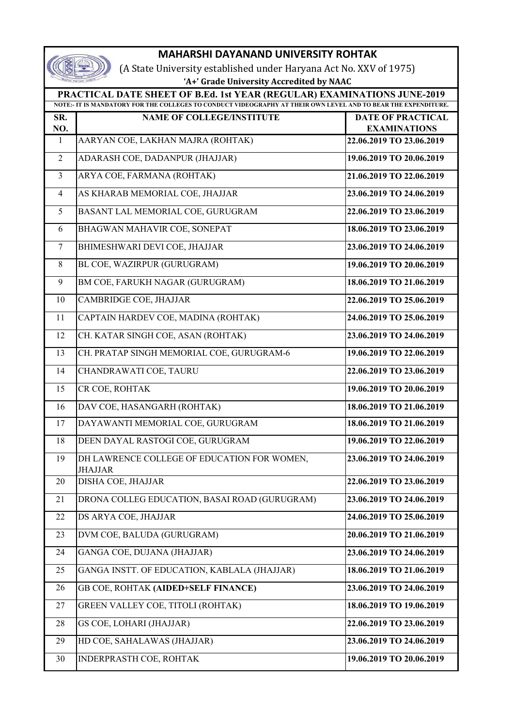| <b>MAHARSHI DAYANAND UNIVERSITY ROHTAK</b>                                                                                                                                                |                                                               |                                                 |  |  |
|-------------------------------------------------------------------------------------------------------------------------------------------------------------------------------------------|---------------------------------------------------------------|-------------------------------------------------|--|--|
| (A State University established under Haryana Act No. XXV of 1975)                                                                                                                        |                                                               |                                                 |  |  |
| 'A+' Grade University Accredited by NAAC                                                                                                                                                  |                                                               |                                                 |  |  |
| PRACTICAL DATE SHEET OF B.Ed. 1st YEAR (REGULAR) EXAMINATIONS JUNE-2019<br>NOTE:- IT IS MANDATORY FOR THE COLLEGES TO CONDUCT VIDEOGRAPHY AT THEIR OWN LEVEL AND TO BEAR THE EXPENDITURE. |                                                               |                                                 |  |  |
|                                                                                                                                                                                           |                                                               |                                                 |  |  |
| SR.<br>NO.                                                                                                                                                                                | <b>NAME OF COLLEGE/INSTITUTE</b>                              | <b>DATE OF PRACTICAL</b><br><b>EXAMINATIONS</b> |  |  |
| $\mathbf{1}$                                                                                                                                                                              | AARYAN COE, LAKHAN MAJRA (ROHTAK)                             | 22.06.2019 TO 23.06.2019                        |  |  |
| $\overline{2}$                                                                                                                                                                            | ADARASH COE, DADANPUR (JHAJJAR)                               | 19.06.2019 TO 20.06.2019                        |  |  |
| $\overline{3}$                                                                                                                                                                            | ARYA COE, FARMANA (ROHTAK)                                    | 21.06.2019 TO 22.06.2019                        |  |  |
| $\overline{4}$                                                                                                                                                                            | AS KHARAB MEMORIAL COE, JHAJJAR                               | 23.06.2019 TO 24.06.2019                        |  |  |
| 5                                                                                                                                                                                         | BASANT LAL MEMORIAL COE, GURUGRAM                             | 22.06.2019 TO 23.06.2019                        |  |  |
| 6                                                                                                                                                                                         | BHAGWAN MAHAVIR COE, SONEPAT                                  | 18.06.2019 TO 23.06.2019                        |  |  |
| $\tau$                                                                                                                                                                                    | BHIMESHWARI DEVI COE, JHAJJAR                                 | 23.06.2019 TO 24.06.2019                        |  |  |
| 8                                                                                                                                                                                         | BL COE, WAZIRPUR (GURUGRAM)                                   | 19.06.2019 TO 20.06.2019                        |  |  |
| 9                                                                                                                                                                                         | BM COE, FARUKH NAGAR (GURUGRAM)                               | 18.06.2019 TO 21.06.2019                        |  |  |
| 10                                                                                                                                                                                        | CAMBRIDGE COE, JHAJJAR                                        | 22.06.2019 TO 25.06.2019                        |  |  |
| 11                                                                                                                                                                                        | CAPTAIN HARDEV COE, MADINA (ROHTAK)                           | 24.06.2019 TO 25.06.2019                        |  |  |
| 12                                                                                                                                                                                        | CH. KATAR SINGH COE, ASAN (ROHTAK)                            | 23.06.2019 TO 24.06.2019                        |  |  |
| 13                                                                                                                                                                                        | CH. PRATAP SINGH MEMORIAL COE, GURUGRAM-6                     | 19.06.2019 TO 22.06.2019                        |  |  |
| 14                                                                                                                                                                                        | CHANDRAWATI COE, TAURU                                        | 22.06.2019 TO 23.06.2019                        |  |  |
| 15                                                                                                                                                                                        | CR COE, ROHTAK                                                | 19.06.2019 TO 20.06.2019                        |  |  |
| 16                                                                                                                                                                                        | DAV COE, HASANGARH (ROHTAK)                                   | 18.06.2019 TO 21.06.2019                        |  |  |
| 17                                                                                                                                                                                        | DAYAWANTI MEMORIAL COE, GURUGRAM                              | 18.06.2019 TO 21.06.2019                        |  |  |
| 18                                                                                                                                                                                        | DEEN DAYAL RASTOGI COE, GURUGRAM                              | 19.06.2019 TO 22.06.2019                        |  |  |
| 19                                                                                                                                                                                        | DH LAWRENCE COLLEGE OF EDUCATION FOR WOMEN,<br><b>JHAJJAR</b> | 23.06.2019 TO 24.06.2019                        |  |  |
| 20                                                                                                                                                                                        | DISHA COE, JHAJJAR                                            | 22.06.2019 TO 23.06.2019                        |  |  |
| 21                                                                                                                                                                                        | DRONA COLLEG EDUCATION, BASAI ROAD (GURUGRAM)                 | 23.06.2019 TO 24.06.2019                        |  |  |
| 22                                                                                                                                                                                        | DS ARYA COE, JHAJJAR                                          | 24.06.2019 TO 25.06.2019                        |  |  |
| 23                                                                                                                                                                                        | DVM COE, BALUDA (GURUGRAM)                                    | 20.06.2019 TO 21.06.2019                        |  |  |
| 24                                                                                                                                                                                        | GANGA COE, DUJANA (JHAJJAR)                                   | 23.06.2019 TO 24.06.2019                        |  |  |
| 25                                                                                                                                                                                        | GANGA INSTT. OF EDUCATION, KABLALA (JHAJJAR)                  | 18.06.2019 TO 21.06.2019                        |  |  |
| 26                                                                                                                                                                                        | GB COE, ROHTAK (AIDED+SELF FINANCE)                           | 23.06.2019 TO 24.06.2019                        |  |  |
| 27                                                                                                                                                                                        | GREEN VALLEY COE, TITOLI (ROHTAK)                             | 18.06.2019 TO 19.06.2019                        |  |  |
| 28                                                                                                                                                                                        | GS COE, LOHARI (JHAJJAR)                                      | 22.06.2019 TO 23.06.2019                        |  |  |
| 29                                                                                                                                                                                        | HD COE, SAHALAWAS (JHAJJAR)                                   | 23.06.2019 TO 24.06.2019                        |  |  |
| 30                                                                                                                                                                                        | INDERPRASTH COE, ROHTAK                                       | 19.06.2019 TO 20.06.2019                        |  |  |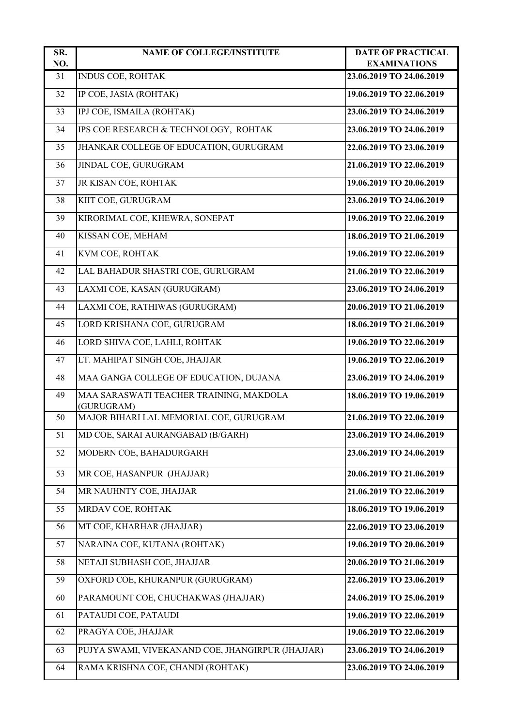| SR.<br>NO. | <b>NAME OF COLLEGE/INSTITUTE</b>                      | <b>DATE OF PRACTICAL</b><br><b>EXAMINATIONS</b> |
|------------|-------------------------------------------------------|-------------------------------------------------|
| 31         | <b>INDUS COE, ROHTAK</b>                              | 23.06.2019 TO 24.06.2019                        |
| 32         | IP COE, JASIA (ROHTAK)                                | 19.06.2019 TO 22.06.2019                        |
| 33         | IPJ COE, ISMAILA (ROHTAK)                             | 23.06.2019 TO 24.06.2019                        |
| 34         | IPS COE RESEARCH & TECHNOLOGY, ROHTAK                 | 23.06.2019 TO 24.06.2019                        |
| 35         | JHANKAR COLLEGE OF EDUCATION, GURUGRAM                | 22.06.2019 TO 23.06.2019                        |
| 36         | JINDAL COE, GURUGRAM                                  | 21.06.2019 TO 22.06.2019                        |
| 37         | JR KISAN COE, ROHTAK                                  | 19.06.2019 TO 20.06.2019                        |
| 38         | KIIT COE, GURUGRAM                                    | 23.06.2019 TO 24.06.2019                        |
| 39         | KIRORIMAL COE, KHEWRA, SONEPAT                        | 19.06.2019 TO 22.06.2019                        |
| 40         | KISSAN COE, MEHAM                                     | 18.06.2019 TO 21.06.2019                        |
| 41         | KVM COE, ROHTAK                                       | 19.06.2019 TO 22.06.2019                        |
| 42         | LAL BAHADUR SHASTRI COE, GURUGRAM                     | 21.06.2019 TO 22.06.2019                        |
| 43         | LAXMI COE, KASAN (GURUGRAM)                           | 23.06.2019 TO 24.06.2019                        |
| 44         | LAXMI COE, RATHIWAS (GURUGRAM)                        | 20.06.2019 TO 21.06.2019                        |
| 45         | LORD KRISHANA COE, GURUGRAM                           | 18.06.2019 TO 21.06.2019                        |
| 46         | LORD SHIVA COE, LAHLI, ROHTAK                         | 19.06.2019 TO 22.06.2019                        |
| 47         | LT. MAHIPAT SINGH COE, JHAJJAR                        | 19.06.2019 TO 22.06.2019                        |
| 48         | MAA GANGA COLLEGE OF EDUCATION, DUJANA                | 23.06.2019 TO 24.06.2019                        |
| 49         | MAA SARASWATI TEACHER TRAINING, MAKDOLA<br>(GURUGRAM) | 18.06.2019 TO 19.06.2019                        |
| 50         | MAJOR BIHARI LAL MEMORIAL COE, GURUGRAM               | 21.06.2019 TO 22.06.2019                        |
| 51         | MD COE, SARAI AURANGABAD (B/GARH)                     | 23.06.2019 TO 24.06.2019                        |
| 52         | MODERN COE, BAHADURGARH                               | 23.06.2019 TO 24.06.2019                        |
| 53         | MR COE, HASANPUR (JHAJJAR)                            | 20.06.2019 TO 21.06.2019                        |
| 54         | MR NAUHNTY COE, JHAJJAR                               | 21.06.2019 TO 22.06.2019                        |
| 55         | MRDAV COE, ROHTAK                                     | 18.06.2019 TO 19.06.2019                        |
| 56         | MT COE, KHARHAR (JHAJJAR)                             | 22.06.2019 TO 23.06.2019                        |
| 57         | NARAINA COE, KUTANA (ROHTAK)                          | 19.06.2019 TO 20.06.2019                        |
| 58         | NETAJI SUBHASH COE, JHAJJAR                           | 20.06.2019 TO 21.06.2019                        |
| 59         | OXFORD COE, KHURANPUR (GURUGRAM)                      | 22.06.2019 TO 23.06.2019                        |
| 60         | PARAMOUNT COE, CHUCHAKWAS (JHAJJAR)                   | 24.06.2019 TO 25.06.2019                        |
| 61         | PATAUDI COE, PATAUDI                                  | 19.06.2019 TO 22.06.2019                        |
| 62         | PRAGYA COE, JHAJJAR                                   | 19.06.2019 TO 22.06.2019                        |
| 63         | PUJYA SWAMI, VIVEKANAND COE, JHANGIRPUR (JHAJJAR)     | 23.06.2019 TO 24.06.2019                        |
| 64         | RAMA KRISHNA COE, CHANDI (ROHTAK)                     | 23.06.2019 TO 24.06.2019                        |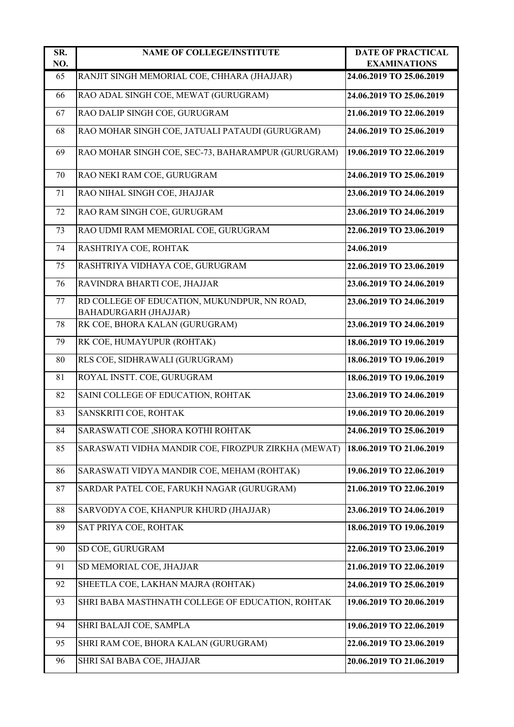| SR.<br>NO. | <b>NAME OF COLLEGE/INSTITUTE</b>                                      | <b>DATE OF PRACTICAL</b><br><b>EXAMINATIONS</b> |
|------------|-----------------------------------------------------------------------|-------------------------------------------------|
| 65         | RANJIT SINGH MEMORIAL COE, CHHARA (JHAJJAR)                           | 24.06.2019 TO 25.06.2019                        |
| 66         | RAO ADAL SINGH COE, MEWAT (GURUGRAM)                                  | 24.06.2019 TO 25.06.2019                        |
| 67         | RAO DALIP SINGH COE, GURUGRAM                                         | 21.06.2019 TO 22.06.2019                        |
| 68         | RAO MOHAR SINGH COE, JATUALI PATAUDI (GURUGRAM)                       | 24.06.2019 TO 25.06.2019                        |
| 69         | RAO MOHAR SINGH COE, SEC-73, BAHARAMPUR (GURUGRAM)                    | 19.06.2019 TO 22.06.2019                        |
| 70         | RAO NEKI RAM COE, GURUGRAM                                            | 24.06.2019 TO 25.06.2019                        |
| 71         | RAO NIHAL SINGH COE, JHAJJAR                                          | 23.06.2019 TO 24.06.2019                        |
| 72         | RAO RAM SINGH COE, GURUGRAM                                           | 23.06.2019 TO 24.06.2019                        |
| 73         | RAO UDMI RAM MEMORIAL COE, GURUGRAM                                   | 22.06.2019 TO 23.06.2019                        |
| 74         | RASHTRIYA COE, ROHTAK                                                 | 24.06.2019                                      |
| 75         | RASHTRIYA VIDHAYA COE, GURUGRAM                                       | 22.06.2019 TO 23.06.2019                        |
| 76         | RAVINDRA BHARTI COE, JHAJJAR                                          | 23.06.2019 TO 24.06.2019                        |
| 77         | RD COLLEGE OF EDUCATION, MUKUNDPUR, NN ROAD,<br>BAHADURGARH (JHAJJAR) | 23.06.2019 TO 24.06.2019                        |
| 78         | RK COE, BHORA KALAN (GURUGRAM)                                        | 23.06.2019 TO 24.06.2019                        |
| 79         | RK COE, HUMAYUPUR (ROHTAK)                                            | 18.06.2019 TO 19.06.2019                        |
| 80         | RLS COE, SIDHRAWALI (GURUGRAM)                                        | 18.06.2019 TO 19.06.2019                        |
| 81         | ROYAL INSTT. COE, GURUGRAM                                            | 18.06.2019 TO 19.06.2019                        |
| 82         | SAINI COLLEGE OF EDUCATION, ROHTAK                                    | 23.06.2019 TO 24.06.2019                        |
| 83         | SANSKRITI COE, ROHTAK                                                 | 19.06.2019 TO 20.06.2019                        |
| 84         | SARASWATI COE ,SHORA KOTHI ROHTAK                                     | 24.06.2019 TO 25.06.2019                        |
| 85         | SARASWATI VIDHA MANDIR COE, FIROZPUR ZIRKHA (MEWAT)                   | 18.06.2019 TO 21.06.2019                        |
| 86         | SARASWATI VIDYA MANDIR COE, MEHAM (ROHTAK)                            | 19.06.2019 TO 22.06.2019                        |
| 87         | SARDAR PATEL COE, FARUKH NAGAR (GURUGRAM)                             | 21.06.2019 TO 22.06.2019                        |
| 88         | SARVODYA COE, KHANPUR KHURD (JHAJJAR)                                 | 23.06.2019 TO 24.06.2019                        |
| 89         | SAT PRIYA COE, ROHTAK                                                 | 18.06.2019 TO 19.06.2019                        |
| 90         | SD COE, GURUGRAM                                                      | 22.06.2019 TO 23.06.2019                        |
| 91         | SD MEMORIAL COE, JHAJJAR                                              | 21.06.2019 TO 22.06.2019                        |
| 92         | SHEETLA COE, LAKHAN MAJRA (ROHTAK)                                    | 24.06.2019 TO 25.06.2019                        |
| 93         | SHRI BABA MASTHNATH COLLEGE OF EDUCATION, ROHTAK                      | 19.06.2019 TO 20.06.2019                        |
| 94         | SHRI BALAJI COE, SAMPLA                                               | 19.06.2019 TO 22.06.2019                        |
| 95         | SHRI RAM COE, BHORA KALAN (GURUGRAM)                                  | 22.06.2019 TO 23.06.2019                        |
| 96         | SHRI SAI BABA COE, JHAJJAR                                            | 20.06.2019 TO 21.06.2019                        |